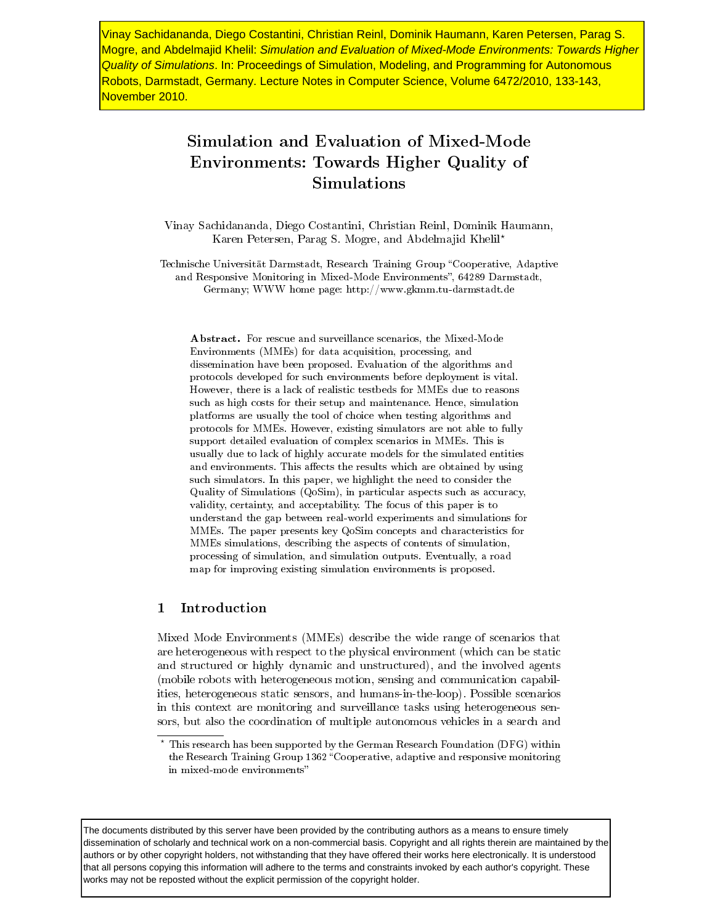Vinay Sachidananda, Diego Costantini, Christian Reinl, Dominik Haumann, Karen Petersen, Parag S. Mogre, and Abdelmajid Khelil: *Simulation and Evaluation of Mixed-Mode Environments: Towards Higher Quality of Simulations*. In: Proceedings of Simulation, Modeling, and Programming for Autonomous Robots, Darmstadt, Germany. Lecture Notes in Computer Science, Volume 6472/2010, 133-143, November 2010.

# Simulation and Evaluation of Mixed-Mode Environments: Towards Higher Quality of Simulations

Vinay Sachidananda, Diego Costantini, Christian Reinl, Dominik Haumann, Karen Petersen, Parag S. Mogre, and Abdelmajid Khelil?

Technische Universität Darmstadt, Research Training Group "Cooperative, Adaptive and Responsive Monitoring in Mixed-Mode Environments", 64289 Darmstadt, Germany; WWW home page: http://www.gkmm.tu-darmstadt.de

Abstract. For rescue and surveillance scenarios, the Mixed-Mode Environments (MMEs) for data acquisition, processing, and dissemination have been proposed. Evaluation of the algorithms and protocols developed for such environments before deployment is vital. However, there is a lack of realistic testbeds for MMEs due to reasons such as high costs for their setup and maintenance. Hence, simulation platforms are usually the tool of choice when testing algorithms and protocols for MMEs. However, existing simulators are not able to fully support detailed evaluation of complex scenarios in MMEs. This is usually due to lack of highly accurate models for the simulated entities and environments. This affects the results which are obtained by using such simulators. In this paper, we highlight the need to consider the Quality of Simulations (QoSim), in particular aspects such as accuracy, validity, certainty, and acceptability. The focus of this paper is to understand the gap between real-world experiments and simulations for MMEs. The paper presents key QoSim concepts and characteristics for MMEs simulations, describing the aspects of contents of simulation, processing of simulation, and simulation outputs. Eventually, a road map for improving existing simulation environments is proposed.

## 1 Introduction

Mixed Mode Environments (MMEs) describe the wide range of scenarios that are heterogeneous with respect to the physical environment (which can be static and structured or highly dynamic and unstructured), and the involved agents (mobile robots with heterogeneous motion, sensing and communication capabilities, heterogeneous static sensors, and humans-in-the-loop). Possible scenarios in this context are monitoring and surveillance tasks using heterogeneous sensors, but also the coordination of multiple autonomous vehicles in a search and

The documents distributed by this server have been provided by the contributing authors as a means to ensure timely dissemination of scholarly and technical work on a non-commercial basis. Copyright and all rights therein are maintained by the authors or by other copyright holders, not withstanding that they have offered their works here electronically. It is understood that all persons copying this information will adhere to the terms and constraints invoked by each author's copyright. These works may not be reposted without the explicit permission of the copyright holder.

<sup>?</sup> This research has been supported by the German Research Foundation (DFG) within the Research Training Group 1362 Cooperative, adaptive and responsive monitoring in mixed-mode environments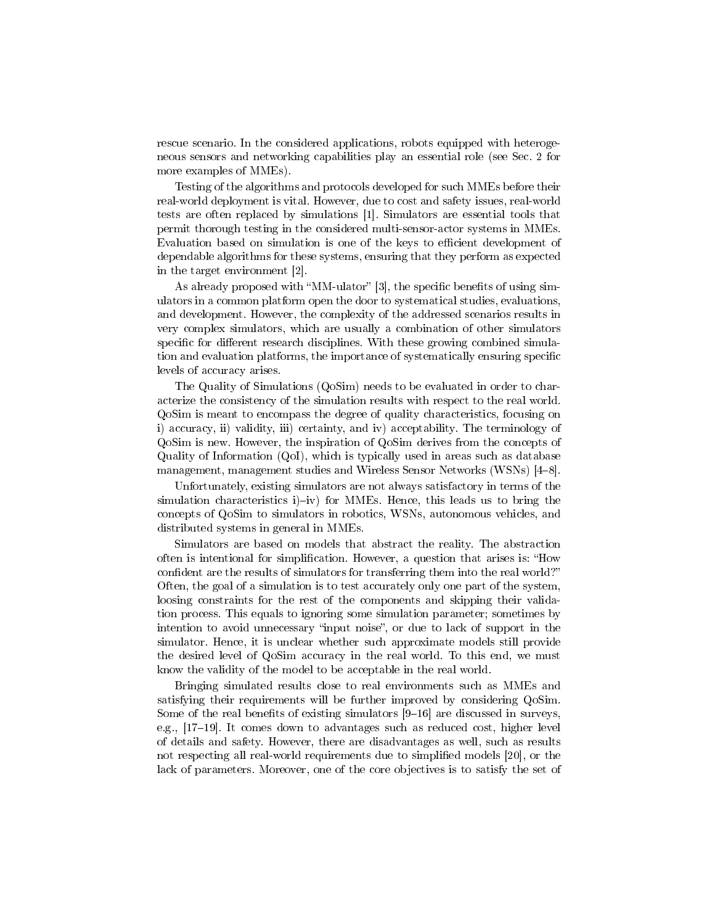rescue scenario. In the considered applications, robots equipped with heterogeneous sensors and networking capabilities play an essential role (see Sec. 2 for more examples of MMEs).

Testing of the algorithms and protocols developed for such MMEs before their real-world deployment is vital. However, due to cost and safety issues, real-world tests are often replaced by simulations [1]. Simulators are essential tools that permit thorough testing in the considered multi-sensor-actor systems in MMEs. Evaluation based on simulation is one of the keys to efficient development of dependable algorithms for these systems, ensuring that they perform as expected in the target environment [2].

As already proposed with "MM-ulator"  $[3]$ , the specific benefits of using simulators in a common platform open the door to systematical studies, evaluations, and development. However, the complexity of the addressed scenarios results in very complex simulators, which are usually a combination of other simulators specific for different research disciplines. With these growing combined simulation and evaluation platforms, the importance of systematically ensuring specific levels of accuracy arises.

The Quality of Simulations (QoSim) needs to be evaluated in order to characterize the consistency of the simulation results with respect to the real world. QoSim is meant to encompass the degree of quality characteristics, focusing on i) accuracy, ii) validity, iii) certainty, and iv) acceptability. The terminology of QoSim is new. However, the inspiration of QoSim derives from the concepts of Quality of Information (QoI), which is typically used in areas such as database management, management studies and Wireless Sensor Networks (WSNs) [48].

Unfortunately, existing simulators are not always satisfactory in terms of the simulation characteristics i)-iv) for MMEs. Hence, this leads us to bring the concepts of QoSim to simulators in robotics, WSNs, autonomous vehicles, and distributed systems in general in MMEs.

Simulators are based on models that abstract the reality. The abstraction often is intentional for simplification. However, a question that arises is: "How confident are the results of simulators for transferring them into the real world?" Often, the goal of a simulation is to test accurately only one part of the system, loosing constraints for the rest of the components and skipping their validation process. This equals to ignoring some simulation parameter; sometimes by intention to avoid unnecessary "input noise", or due to lack of support in the simulator. Hence, it is unclear whether such approximate models still provide the desired level of QoSim accuracy in the real world. To this end, we must know the validity of the model to be acceptable in the real world.

Bringing simulated results close to real environments such as MMEs and satisfying their requirements will be further improved by considering QoSim. Some of the real benefits of existing simulators  $[9-16]$  are discussed in surveys, e.g.,  $[17-19]$ . It comes down to advantages such as reduced cost, higher level of details and safety. However, there are disadvantages as well, such as results not respecting all real-world requirements due to simplified models [20], or the lack of parameters. Moreover, one of the core objectives is to satisfy the set of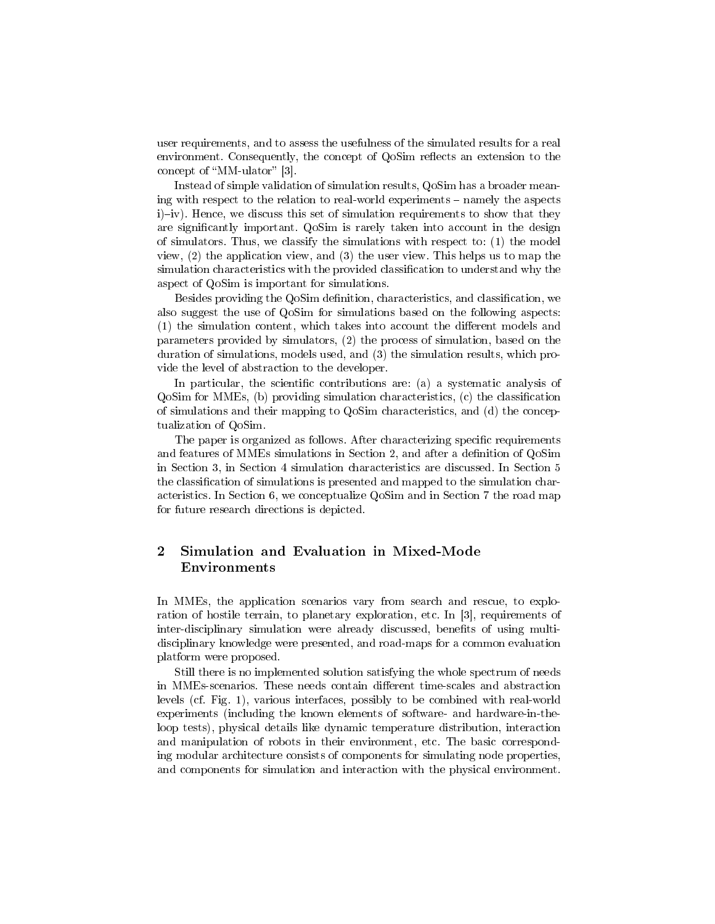user requirements, and to assess the usefulness of the simulated results for a real environment. Consequently, the concept of QoSim reflects an extension to the concept of "MM-ulator"  $[3]$ .

Instead of simple validation of simulation results, QoSim has a broader meaning with respect to the relation to real-world experiments – namely the aspects  $i$ ) $-i$ v). Hence, we discuss this set of simulation requirements to show that they are signicantly important. QoSim is rarely taken into account in the design of simulators. Thus, we classify the simulations with respect to: (1) the model view, (2) the application view, and (3) the user view. This helps us to map the simulation characteristics with the provided classification to understand why the aspect of QoSim is important for simulations.

Besides providing the QoSim definition, characteristics, and classification, we also suggest the use of QoSim for simulations based on the following aspects:  $(1)$  the simulation content, which takes into account the different models and parameters provided by simulators, (2) the process of simulation, based on the duration of simulations, models used, and (3) the simulation results, which provide the level of abstraction to the developer.

In particular, the scientific contributions are: (a) a systematic analysis of  $\Omega$ oSim for MMEs, (b) providing simulation characteristics, (c) the classification of simulations and their mapping to QoSim characteristics, and (d) the conceptualization of QoSim.

The paper is organized as follows. After characterizing specific requirements and features of MMEs simulations in Section 2, and after a definition of QoSim in Section 3, in Section 4 simulation characteristics are discussed. In Section 5 the classification of simulations is presented and mapped to the simulation characteristics. In Section 6, we conceptualize QoSim and in Section 7 the road map for future research directions is depicted.

# 2 Simulation and Evaluation in Mixed-Mode Environments

In MMEs, the application scenarios vary from search and rescue, to exploration of hostile terrain, to planetary exploration, etc. In [3], requirements of inter-disciplinary simulation were already discussed, benefits of using multidisciplinary knowledge were presented, and road-maps for a common evaluation platform were proposed.

Still there is no implemented solution satisfying the whole spectrum of needs in MMEs-scenarios. These needs contain different time-scales and abstraction levels (cf. Fig. 1), various interfaces, possibly to be combined with real-world experiments (including the known elements of software- and hardware-in-theloop tests), physical details like dynamic temperature distribution, interaction and manipulation of robots in their environment, etc. The basic corresponding modular architecture consists of components for simulating node properties, and components for simulation and interaction with the physical environment.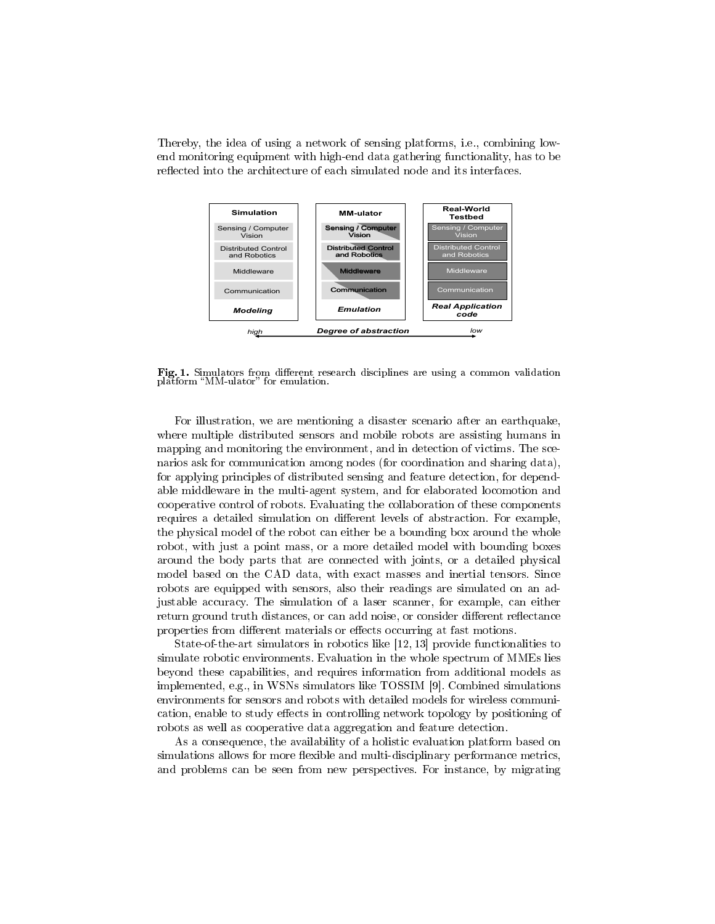Thereby, the idea of using a network of sensing platforms, i.e., combining lowend monitoring equipment with high-end data gathering functionality, has to be reflected into the architecture of each simulated node and its interfaces.



**Fig. 1.** Simulators from different research disciplines are using a common validation platform "MM-ulator" for emulation.

For illustration, we are mentioning a disaster scenario after an earthquake, where multiple distributed sensors and mobile robots are assisting humans in mapping and monitoring the environment, and in detection of victims. The scenarios ask for communication among nodes (for coordination and sharing data), for applying principles of distributed sensing and feature detection, for dependable middleware in the multi-agent system, and for elaborated locomotion and cooperative control of robots. Evaluating the collaboration of these components requires a detailed simulation on different levels of abstraction. For example, the physical model of the robot can either be a bounding box around the whole robot, with just a point mass, or a more detailed model with bounding boxes around the body parts that are connected with joints, or a detailed physical model based on the CAD data, with exact masses and inertial tensors. Since robots are equipped with sensors, also their readings are simulated on an adjustable accuracy. The simulation of a laser scanner, for example, can either return ground truth distances, or can add noise, or consider different reflectance properties from different materials or effects occurring at fast motions.

State-of-the-art simulators in robotics like [12, 13] provide functionalities to simulate robotic environments. Evaluation in the whole spectrum of MMEs lies beyond these capabilities, and requires information from additional models as implemented, e.g., in WSNs simulators like TOSSIM [9]. Combined simulations environments for sensors and robots with detailed models for wireless communication, enable to study effects in controlling network topology by positioning of robots as well as cooperative data aggregation and feature detection.

As a consequence, the availability of a holistic evaluation platform based on simulations allows for more flexible and multi-disciplinary performance metrics, and problems can be seen from new perspectives. For instance, by migrating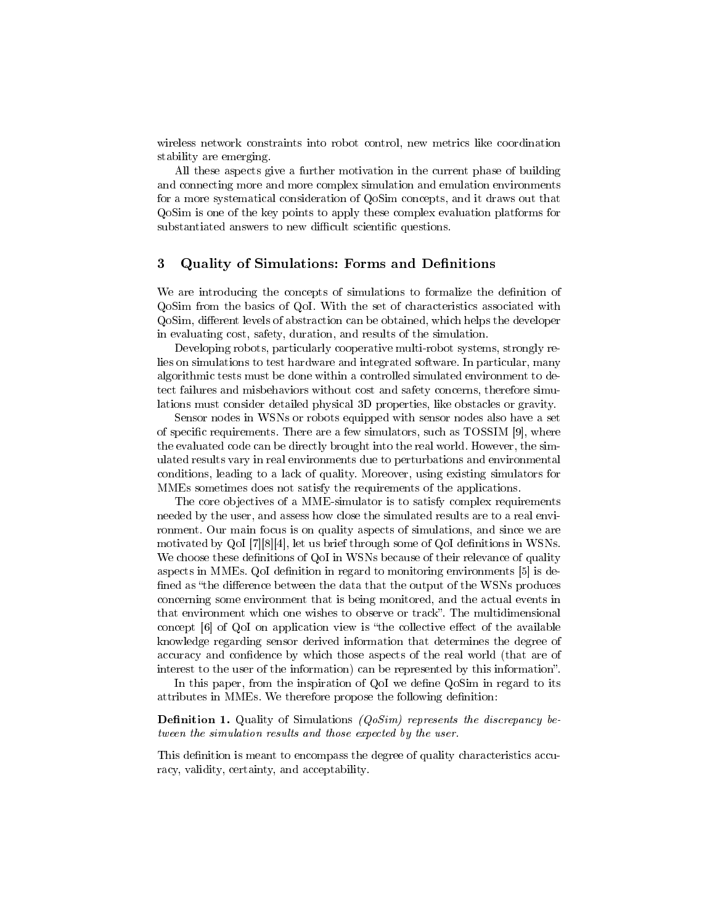wireless network constraints into robot control, new metrics like coordination stability are emerging.

All these aspects give a further motivation in the current phase of building and connecting more and more complex simulation and emulation environments for a more systematical consideration of QoSim concepts, and it draws out that QoSim is one of the key points to apply these complex evaluation platforms for substantiated answers to new difficult scientific questions.

## 3 Quality of Simulations: Forms and Definitions

We are introducing the concepts of simulations to formalize the definition of QoSim from the basics of QoI. With the set of characteristics associated with QoSim, different levels of abstraction can be obtained, which helps the developer in evaluating cost, safety, duration, and results of the simulation.

Developing robots, particularly cooperative multi-robot systems, strongly relies on simulations to test hardware and integrated software. In particular, many algorithmic tests must be done within a controlled simulated environment to detect failures and misbehaviors without cost and safety concerns, therefore simulations must consider detailed physical 3D properties, like obstacles or gravity.

Sensor nodes in WSNs or robots equipped with sensor nodes also have a set of specific requirements. There are a few simulators, such as  $TOSSIM$  [9], where the evaluated code can be directly brought into the real world. However, the simulated results vary in real environments due to perturbations and environmental conditions, leading to a lack of quality. Moreover, using existing simulators for MMEs sometimes does not satisfy the requirements of the applications.

The core objectives of a MME-simulator is to satisfy complex requirements needed by the user, and assess how close the simulated results are to a real environment. Our main focus is on quality aspects of simulations, and since we are motivated by  $QoI [7][8][4]$ , let us brief through some of  $QoI$  definitions in WSNs. We choose these definitions of QoI in WSNs because of their relevance of quality aspects in MMEs. QoI definition in regard to monitoring environments [5] is defined as "the difference between the data that the output of the WSNs produces concerning some environment that is being monitored, and the actual events in that environment which one wishes to observe or track". The multidimensional concept  $[6]$  of  $Q$ <sup>o</sup>I on application view is "the collective effect of the available knowledge regarding sensor derived information that determines the degree of accuracy and condence by which those aspects of the real world (that are of interest to the user of the information) can be represented by this information".

In this paper, from the inspiration of QoI we define QoSim in regard to its attributes in MMEs. We therefore propose the following definition:

**Definition 1.** Quality of Simulations  $(QoSim)$  represents the discrepancy between the simulation results and those expected by the user.

This definition is meant to encompass the degree of quality characteristics accuracy, validity, certainty, and acceptability.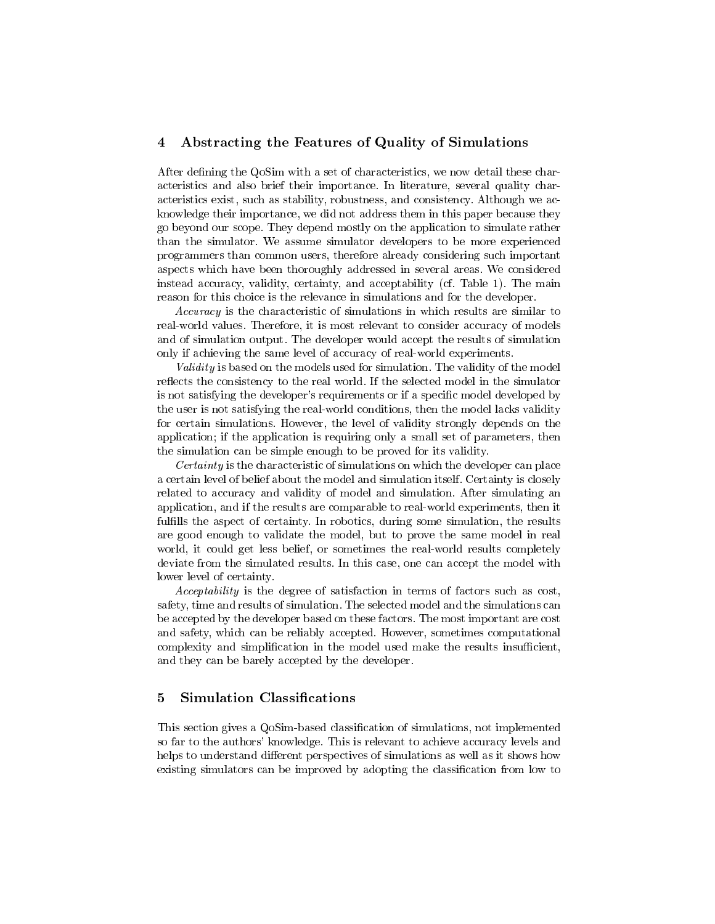## 4 Abstracting the Features of Quality of Simulations

After defining the QoSim with a set of characteristics, we now detail these characteristics and also brief their importance. In literature, several quality characteristics exist, such as stability, robustness, and consistency. Although we acknowledge their importance, we did not address them in this paper because they go beyond our scope. They depend mostly on the application to simulate rather than the simulator. We assume simulator developers to be more experienced programmers than common users, therefore already considering such important aspects which have been thoroughly addressed in several areas. We considered instead accuracy, validity, certainty, and acceptability (cf. Table 1). The main reason for this choice is the relevance in simulations and for the developer.

Accuracy is the characteristic of simulations in which results are similar to real-world values. Therefore, it is most relevant to consider accuracy of models and of simulation output. The developer would accept the results of simulation only if achieving the same level of accuracy of real-world experiments.

Validity is based on the models used for simulation. The validity of the model reflects the consistency to the real world. If the selected model in the simulator is not satisfying the developer's requirements or if a specific model developed by the user is not satisfying the real-world conditions, then the model lacks validity for certain simulations. However, the level of validity strongly depends on the application; if the application is requiring only a small set of parameters, then the simulation can be simple enough to be proved for its validity.

Certainty is the characteristic of simulations on which the developer can place a certain level of belief about the model and simulation itself. Certainty is closely related to accuracy and validity of model and simulation. After simulating an application, and if the results are comparable to real-world experiments, then it fulfills the aspect of certainty. In robotics, during some simulation, the results are good enough to validate the model, but to prove the same model in real world, it could get less belief, or sometimes the real-world results completely deviate from the simulated results. In this case, one can accept the model with lower level of certainty.

Acceptability is the degree of satisfaction in terms of factors such as cost, safety, time and results of simulation. The selected model and the simulations can be accepted by the developer based on these factors. The most important are cost and safety, which can be reliably accepted. However, sometimes computational complexity and simplification in the model used make the results insufficient, and they can be barely accepted by the developer.

#### 5 Simulation Classifications

This section gives a QoSim-based classication of simulations, not implemented so far to the authors' knowledge. This is relevant to achieve accuracy levels and helps to understand different perspectives of simulations as well as it shows how existing simulators can be improved by adopting the classification from low to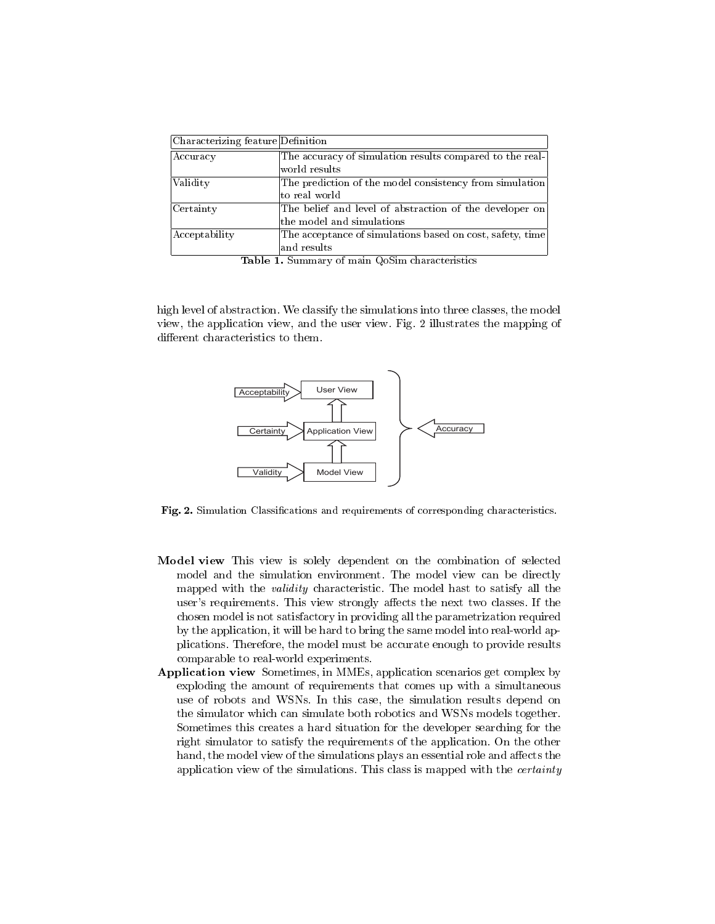| Characterizing feature Definition |                                                                        |
|-----------------------------------|------------------------------------------------------------------------|
| Accuracy                          | The accuracy of simulation results compared to the real-               |
|                                   | world results                                                          |
| Validity                          | The prediction of the model consistency from simulation                |
|                                   | to real world                                                          |
| $ $ Certainty                     | The belief and level of abstraction of the developer on                |
|                                   | the model and simulations                                              |
| Acceptability                     | The acceptance of simulations based on cost, safety, time              |
|                                   | $ $ and results<br>$\sim$ $\sim$<br>the property of the control of the |

Table 1. Summary of main QoSim characteristics

high level of abstraction. We classify the simulations into three classes, the model view, the application view, and the user view. Fig. 2 illustrates the mapping of different characteristics to them.



Fig. 2. Simulation Classifications and requirements of corresponding characteristics.

- Model view This view is solely dependent on the combination of selected model and the simulation environment. The model view can be directly mapped with the validity characteristic. The model hast to satisfy all the user's requirements. This view strongly affects the next two classes. If the chosen model is not satisfactory in providing all the parametrization required by the application, it will be hard to bring the same model into real-world applications. Therefore, the model must be accurate enough to provide results comparable to real-world experiments.
- Application view Sometimes, in MMEs, application scenarios get complex by exploding the amount of requirements that comes up with a simultaneous use of robots and WSNs. In this case, the simulation results depend on the simulator which can simulate both robotics and WSNs models together. Sometimes this creates a hard situation for the developer searching for the right simulator to satisfy the requirements of the application. On the other hand, the model view of the simulations plays an essential role and affects the application view of the simulations. This class is mapped with the *certainty*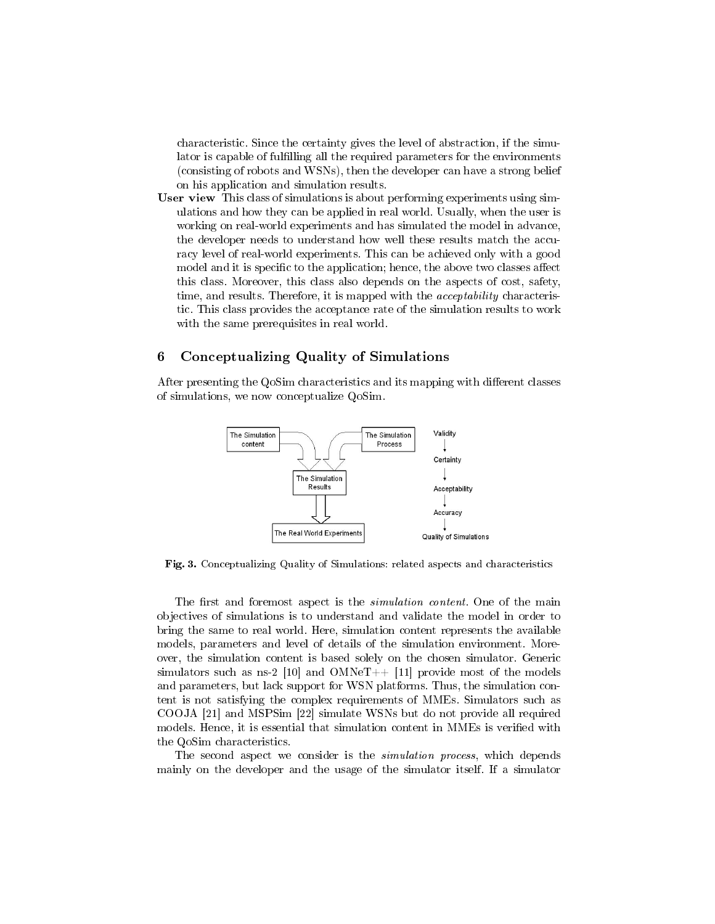characteristic. Since the certainty gives the level of abstraction, if the simulator is capable of fulfilling all the required parameters for the environments (consisting of robots and WSNs), then the developer can have a strong belief on his application and simulation results.

User view This class of simulations is about performing experiments using simulations and how they can be applied in real world. Usually, when the user is working on real-world experiments and has simulated the model in advance, the developer needs to understand how well these results match the accuracy level of real-world experiments. This can be achieved only with a good model and it is specific to the application; hence, the above two classes affect this class. Moreover, this class also depends on the aspects of cost, safety, time, and results. Therefore, it is mapped with the *acceptability* characteristic. This class provides the acceptance rate of the simulation results to work with the same prerequisites in real world.

#### 6 Conceptualizing Quality of Simulations

After presenting the QoSim characteristics and its mapping with different classes of simulations, we now conceptualize QoSim.



Fig. 3. Conceptualizing Quality of Simulations: related aspects and characteristics

The first and foremost aspect is the *simulation content*. One of the main objectives of simulations is to understand and validate the model in order to bring the same to real world. Here, simulation content represents the available models, parameters and level of details of the simulation environment. Moreover, the simulation content is based solely on the chosen simulator. Generic simulators such as ns-2 [10] and OMNeT++ [11] provide most of the models and parameters, but lack support for WSN platforms. Thus, the simulation content is not satisfying the complex requirements of MMEs. Simulators such as COOJA [21] and MSPSim [22] simulate WSNs but do not provide all required models. Hence, it is essential that simulation content in MMEs is veried with the QoSim characteristics.

The second aspect we consider is the simulation process, which depends mainly on the developer and the usage of the simulator itself. If a simulator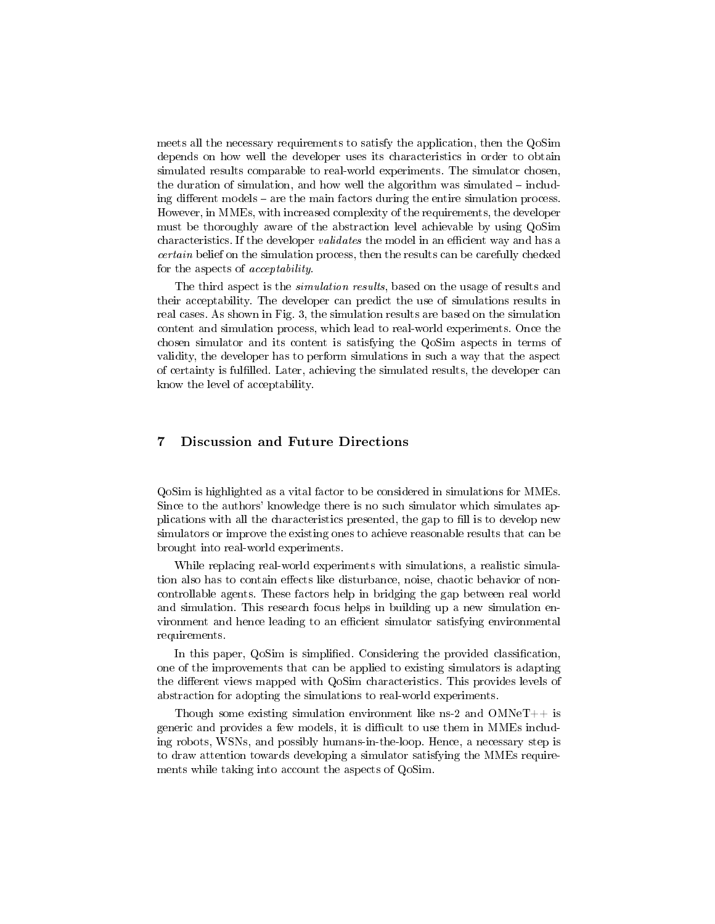meets all the necessary requirements to satisfy the application, then the QoSim depends on how well the developer uses its characteristics in order to obtain simulated results comparable to real-world experiments. The simulator chosen, the duration of simulation, and how well the algorithm was simulated  $-$  including different models  $-$  are the main factors during the entire simulation process. However, in MMEs, with increased complexity of the requirements, the developer must be thoroughly aware of the abstraction level achievable by using QoSim characteristics. If the developer *validates* the model in an efficient way and has a certain belief on the simulation process, then the results can be carefully checked for the aspects of acceptability.

The third aspect is the *simulation results*, based on the usage of results and their acceptability. The developer can predict the use of simulations results in real cases. As shown in Fig. 3, the simulation results are based on the simulation content and simulation process, which lead to real-world experiments. Once the chosen simulator and its content is satisfying the QoSim aspects in terms of validity, the developer has to perform simulations in such a way that the aspect of certainty is fullled. Later, achieving the simulated results, the developer can know the level of acceptability.

# 7 Discussion and Future Directions

QoSim is highlighted as a vital factor to be considered in simulations for MMEs. Since to the authors' knowledge there is no such simulator which simulates applications with all the characteristics presented, the gap to fill is to develop new simulators or improve the existing ones to achieve reasonable results that can be brought into real-world experiments.

While replacing real-world experiments with simulations, a realistic simulation also has to contain effects like disturbance, noise, chaotic behavior of noncontrollable agents. These factors help in bridging the gap between real world and simulation. This research focus helps in building up a new simulation environment and hence leading to an efficient simulator satisfying environmental requirements.

In this paper, QoSim is simplified. Considering the provided classification, one of the improvements that can be applied to existing simulators is adapting the different views mapped with QoSim characteristics. This provides levels of abstraction for adopting the simulations to real-world experiments.

Though some existing simulation environment like ns-2 and  $OMNeT++$  is generic and provides a few models, it is difficult to use them in MMEs including robots, WSNs, and possibly humans-in-the-loop. Hence, a necessary step is to draw attention towards developing a simulator satisfying the MMEs requirements while taking into account the aspects of QoSim.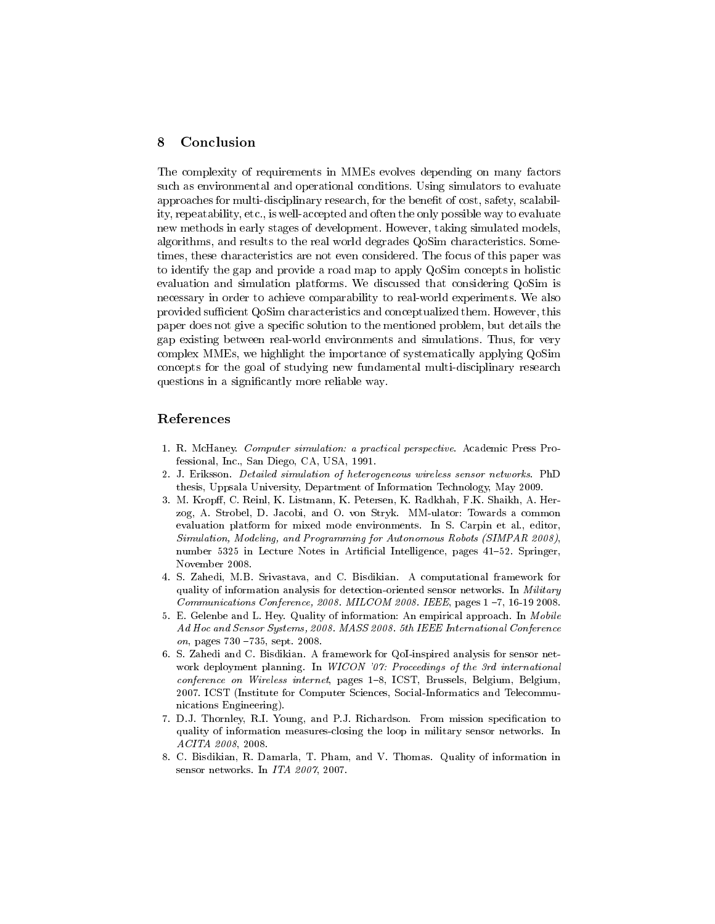# 8 Conclusion

The complexity of requirements in MMEs evolves depending on many factors such as environmental and operational conditions. Using simulators to evaluate approaches for multi-disciplinary research, for the benefit of cost, safety, scalability, repeatability, etc., is well-accepted and often the only possible way to evaluate new methods in early stages of development. However, taking simulated models, algorithms, and results to the real world degrades QoSim characteristics. Sometimes, these characteristics are not even considered. The focus of this paper was to identify the gap and provide a road map to apply QoSim concepts in holistic evaluation and simulation platforms. We discussed that considering QoSim is necessary in order to achieve comparability to real-world experiments. We also provided sufficient QoSim characteristics and conceptualized them. However, this paper does not give a specific solution to the mentioned problem, but details the gap existing between real-world environments and simulations. Thus, for very complex MMEs, we highlight the importance of systematically applying QoSim concepts for the goal of studying new fundamental multi-disciplinary research questions in a signicantly more reliable way.

#### References

- 1. R. McHaney. Computer simulation: a practical perspective. Academic Press Professional, Inc., San Diego, CA, USA, 1991.
- 2. J. Eriksson. Detailed simulation of heterogeneous wireless sensor networks. PhD thesis, Uppsala University, Department of Information Technology, May 2009.
- 3. M. Kropff, C. Reinl, K. Listmann, K. Petersen, K. Radkhah, F.K. Shaikh, A. Herzog, A. Strobel, D. Jacobi, and O. von Stryk. MM-ulator: Towards a common evaluation platform for mixed mode environments. In S. Carpin et al., editor, Simulation, Modeling, and Programming for Autonomous Robots (SIMPAR 2008), number 5325 in Lecture Notes in Artificial Intelligence, pages 41-52. Springer, November 2008.
- 4. S. Zahedi, M.B. Srivastava, and C. Bisdikian. A computational framework for quality of information analysis for detection-oriented sensor networks. In Military Communications Conference, 2008. MILCOM 2008. IEEE, pages  $1 - 7$ , 16-19 2008.
- 5. E. Gelenbe and L. Hey. Quality of information: An empirical approach. In Mobile Ad Hoc and Sensor Systems, 2008. MASS 2008. 5th IEEE International Conference on, pages  $730 - 735$ , sept. 2008.
- 6. S. Zahedi and C. Bisdikian. A framework for QoI-inspired analysis for sensor network deployment planning. In WICON '07: Proceedings of the 3rd international conference on Wireless internet, pages 1-8, ICST, Brussels, Belgium, Belgium, 2007. ICST (Institute for Computer Sciences, Social-Informatics and Telecommunications Engineering).
- 7. D.J. Thornley, R.I. Young, and P.J. Richardson. From mission specification to quality of information measures-closing the loop in military sensor networks. In ACITA 2008, 2008.
- 8. C. Bisdikian, R. Damarla, T. Pham, and V. Thomas. Quality of information in sensor networks. In ITA 2007, 2007.